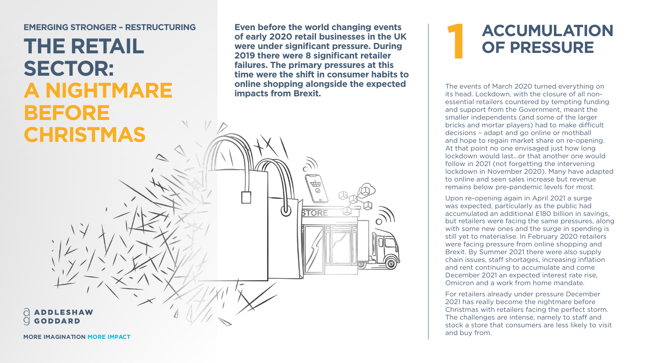## **ACCUMULATION OF PRESSURE**

The events of March 2020 turned everything on its head. Lockdown, with the closure of all nonessential retailers countered by tempting funding and support from the Government, meant the smaller independents (and some of the larger bricks and mortar players) had to make difficult decisions – adapt and go online or mothball and hope to regain market share on re-opening. At that point no one envisaged just how long lockdown would last…or that another one would follow in 2021 (not forgetting the intervening lockdown in November 2020). Many have adapted to online and seen sales increase but revenue remains below pre-pandemic levels for most.

Upon re-opening again in April 2021 a surge was expected, particularly as the public had accumulated an additional £180 billion in savings, but retailers were facing the same pressures, along with some new ones and the surge in spending is still yet to materialise. In February 2020 retailers were facing pressure from online shopping and Brexit. By Summer 2021 there were also supply chain issues, staff shortages, increasing inflation and rent continuing to accumulate and come December 2021 an expected interest rate rise, Omicron and a work from home mandate.

For retailers already under pressure December 2021 has really become the nightmare before Christmas with retailers facing the perfect storm. The challenges are intense, namely to staff and stock a store that consumers are less likely to visit and buy from.



**MORE IMAGINATION MORE IMPACT**



**THE RETAIL SECTOR: A NIGHTMARE BEFORE CHRISTMAS**

**Even before the world changing events of early 2020 retail businesses in the UK were under significant pressure. During 2019 there were 8 significant retailer failures. The primary pressures at this time were the shift in consumer habits to online shopping alongside the expected impacts from Brexit.** EMERGING STRONGER – RESTRUCTURING<br>
11 **EMERGING STRONGER – RESTRUCTURING**<br>
12019 there were a significant pressure. During<br>
2019 there were 8 significant retailer<br>
12019 there were 8 significant retailer<br>
12019 there were

 $\bigcirc$